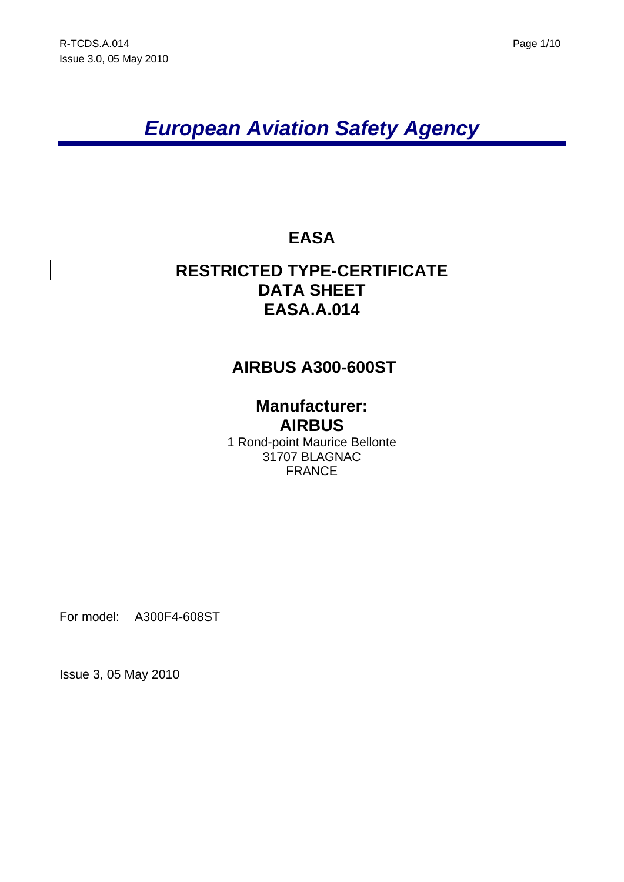# *European Aviation Safety Agency*

# **EASA**

# **RESTRICTED TYPE-CERTIFICATE DATA SHEET EASA.A.014**

# **AIRBUS A300-600ST**

## **Manufacturer: AIRBUS**

1 Rond-point Maurice Bellonte 31707 BLAGNAC FRANCE

For model: A300F4-608ST

Issue 3, 05 May 2010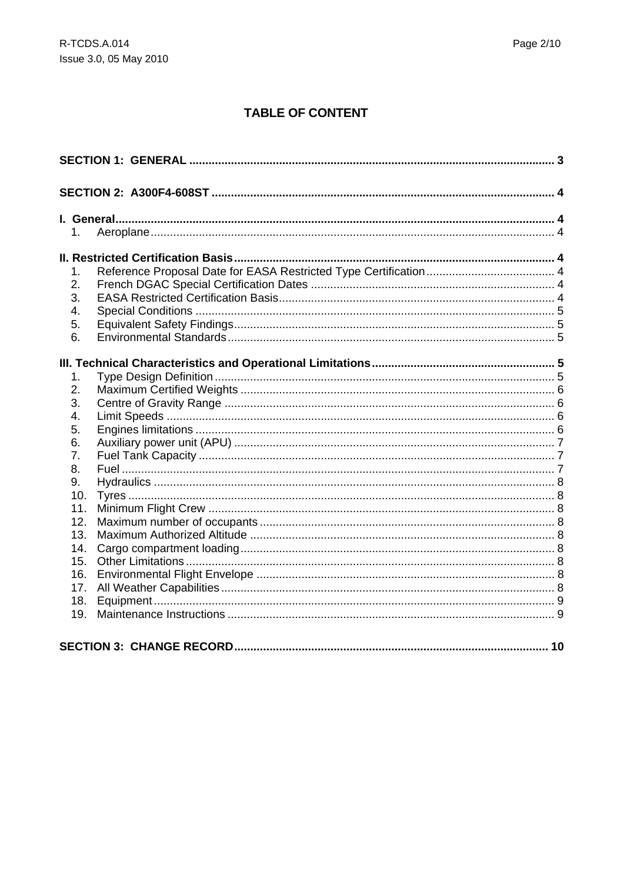### **TABLE OF CONTENT**

| 1.  |  |
|-----|--|
|     |  |
| 1.  |  |
| 2.  |  |
| 3.  |  |
| 4.  |  |
| 5.  |  |
| 6.  |  |
|     |  |
|     |  |
| 1.  |  |
| 2.  |  |
| 3.  |  |
| 4.  |  |
| 5.  |  |
| 6.  |  |
| 7.  |  |
| 8.  |  |
| 9.  |  |
| 10. |  |
| 11. |  |
| 12. |  |
| 13. |  |
| 14. |  |
| 15. |  |
| 16. |  |
| 17. |  |
| 18. |  |
| 19. |  |
|     |  |
|     |  |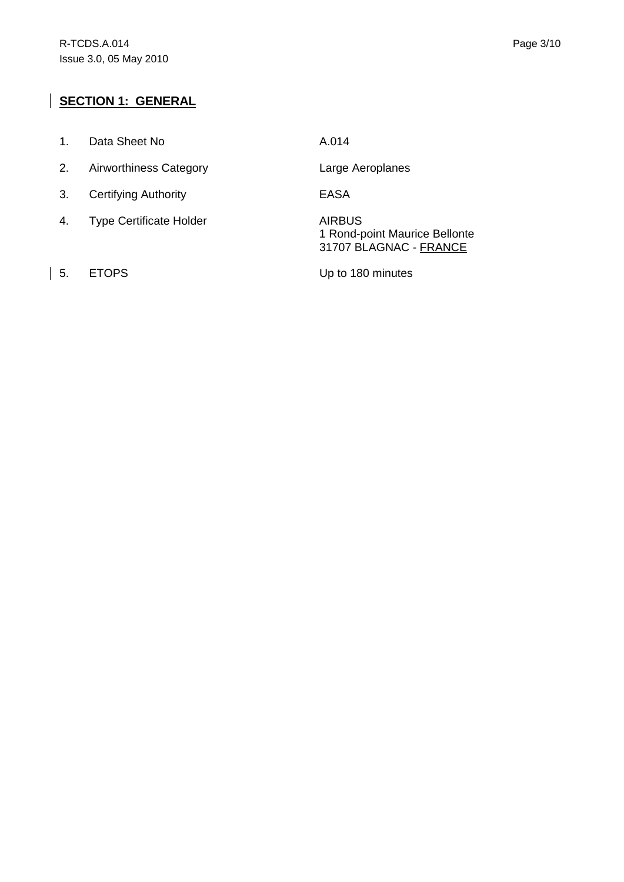### **SECTION 1: GENERAL**

- 1. Data Sheet No A.014
- 2. Airworthiness Category **Large Aeroplanes**
- 3. Certifying Authority EASA
- 4. Type Certificate Holder **AIRBUS**
- 

1 Rond-point Maurice Bellonte 31707 BLAGNAC - FRANCE

| 5. ETOPS Up to 180 minutes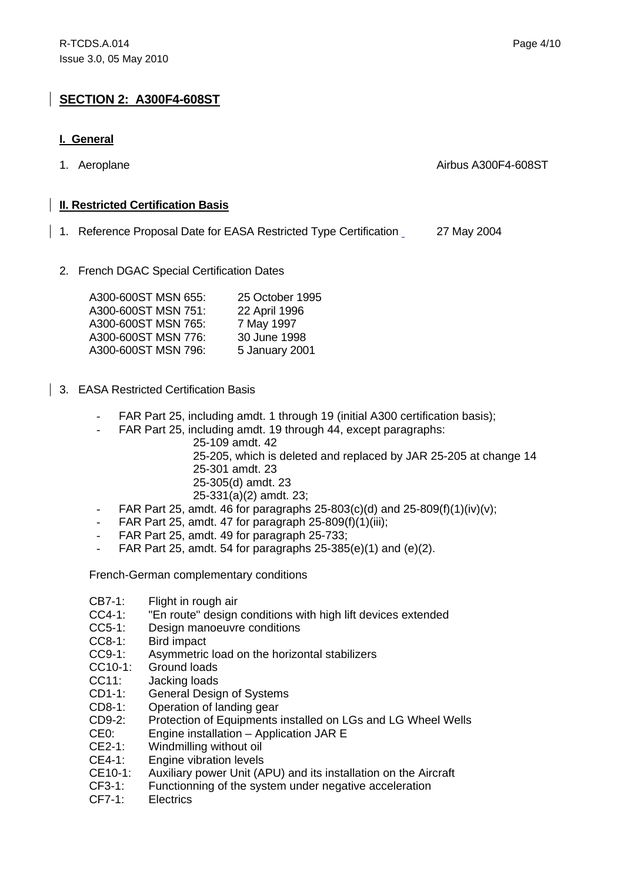#### **I. General**

#### 1. Aeroplane **Airbus A300F4-608ST**

#### **II. Restricted Certification Basis**

- 1. Reference Proposal Date for EASA Restricted Type Certification 27 May 2004
	- 2. French DGAC Special Certification Dates

| A300-600ST MSN 655: | 25 October 1995 |
|---------------------|-----------------|
| A300-600ST MSN 751: | 22 April 1996   |
| A300-600ST MSN 765: | 7 May 1997      |
| A300-600ST MSN 776: | 30 June 1998    |
| A300-600ST MSN 796: | 5 January 2001  |

- 3. EASA Restricted Certification Basis
	- FAR Part 25, including amdt. 1 through 19 (initial A300 certification basis);
	- FAR Part 25, including amdt. 19 through 44, except paragraphs: 25-109 amdt. 42 25-205, which is deleted and replaced by JAR 25-205 at change 14 25-301 amdt. 23 25-305(d) amdt. 23 25-331(a)(2) amdt. 23;
	- FAR Part 25, amdt. 46 for paragraphs  $25-803(c)(d)$  and  $25-809(f)(1)(iv)(v);$
	- FAR Part 25, amdt. 47 for paragraph  $25-809(f)(1)(iii)$ ;
	- FAR Part 25, amdt. 49 for paragraph 25-733;
	- FAR Part 25, amdt. 54 for paragraphs  $25-385(e)(1)$  and  $(e)(2)$ .

French-German complementary conditions

- CB7-1: Flight in rough air
- CC4-1: "En route" design conditions with high lift devices extended
- CC5-1: Design manoeuvre conditions
- 
- CC8-1: Bird impact<br>CC9-1: Asymmetric Asymmetric load on the horizontal stabilizers
- CC10-1: Ground loads
- CC11: Jacking loads
- CD1-1: General Design of Systems
- CD8-1: Operation of landing gear
- CD9-2: Protection of Equipments installed on LGs and LG Wheel Wells
- CE0: Engine installation Application JAR E
- CE2-1: Windmilling without oil
- CE4-1: Engine vibration levels
- CE10-1: Auxiliary power Unit (APU) and its installation on the Aircraft
- CF3-1: Functionning of the system under negative acceleration
- CF7-1: Electrics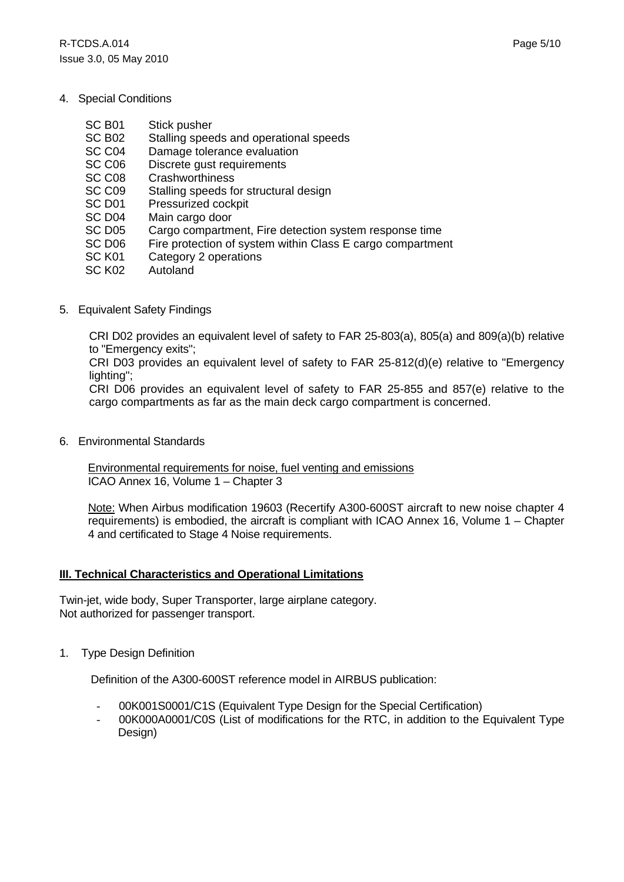#### 4. Special Conditions

- SC B01 Stick pusher
- SC B02 Stalling speeds and operational speeds
- SC C04 Damage tolerance evaluation
- SC C06 Discrete gust requirements
- SC C08 Crashworthiness
- SC C09 Stalling speeds for structural design
- SC D01 Pressurized cockpit
- SC D04 Main cargo door
- SC D05 Cargo compartment, Fire detection system response time
- SC D06 Fire protection of system within Class E cargo compartment
- SC K01 Category 2 operations
- SC K02 Autoland

#### 5. Equivalent Safety Findings

CRI D02 provides an equivalent level of safety to FAR 25-803(a), 805(a) and 809(a)(b) relative to "Emergency exits";

CRI D03 provides an equivalent level of safety to FAR 25-812(d)(e) relative to "Emergency lighting";

CRI D06 provides an equivalent level of safety to FAR 25-855 and 857(e) relative to the cargo compartments as far as the main deck cargo compartment is concerned.

6. Environmental Standards

Environmental requirements for noise, fuel venting and emissions ICAO Annex 16, Volume 1 – Chapter 3

Note: When Airbus modification 19603 (Recertify A300-600ST aircraft to new noise chapter 4 requirements) is embodied, the aircraft is compliant with ICAO Annex 16, Volume 1 – Chapter 4 and certificated to Stage 4 Noise requirements.

#### **III. Technical Characteristics and Operational Limitations**

Twin-jet, wide body, Super Transporter, large airplane category. Not authorized for passenger transport.

1. Type Design Definition

Definition of the A300-600ST reference model in AIRBUS publication:

- 00K001S0001/C1S (Equivalent Type Design for the Special Certification)
- 00K000A0001/C0S (List of modifications for the RTC, in addition to the Equivalent Type Design)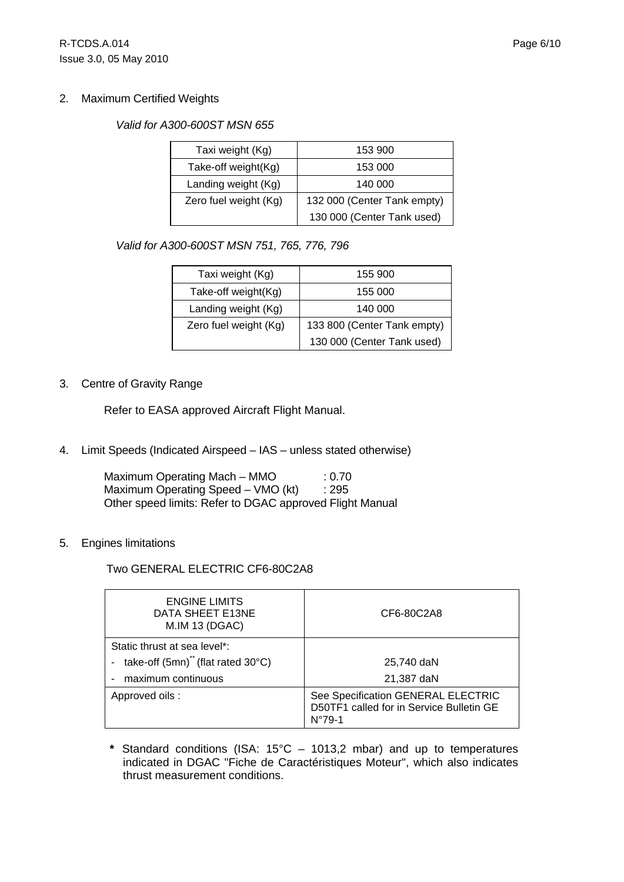#### 2. Maximum Certified Weights

#### *Valid for A300-600ST MSN 655*

| Taxi weight (Kg)      | 153 900                     |
|-----------------------|-----------------------------|
| Take-off weight(Kg)   | 153 000                     |
| Landing weight (Kg)   | 140 000                     |
| Zero fuel weight (Kg) | 132 000 (Center Tank empty) |
|                       | 130 000 (Center Tank used)  |

*Valid for A300-600ST MSN 751, 765, 776, 796* 

| Taxi weight (Kg)      | 155 900                     |
|-----------------------|-----------------------------|
| Take-off weight(Kg)   | 155 000                     |
| Landing weight (Kg)   | 140 000                     |
| Zero fuel weight (Kg) | 133 800 (Center Tank empty) |
|                       | 130 000 (Center Tank used)  |

#### 3. Centre of Gravity Range

Refer to EASA approved Aircraft Flight Manual.

4. Limit Speeds (Indicated Airspeed – IAS – unless stated otherwise)

Maximum Operating Mach – MMO : 0.70 Maximum Operating Speed – VMO (kt) : 295 Other speed limits: Refer to DGAC approved Flight Manual

#### 5. Engines limitations

Two GENERAL ELECTRIC CF6-80C2A8

| <b>ENGINE LIMITS</b><br>DATA SHEET E13NE<br><b>M.IM 13 (DGAC)</b>                                       | CF6-80C2A8                                                                                 |
|---------------------------------------------------------------------------------------------------------|--------------------------------------------------------------------------------------------|
| Static thrust at sea level*:<br>take-off $(5mn)^{n}$ (flat rated 30 $^{\circ}$ C)<br>maximum continuous | 25,740 daN<br>21,387 daN                                                                   |
| Approved oils:                                                                                          | See Specification GENERAL ELECTRIC<br>D50TF1 called for in Service Bulletin GE<br>$N°79-1$ |

**\*** Standard conditions (ISA: 15°C – 1013,2 mbar) and up to temperatures indicated in DGAC "Fiche de Caractéristiques Moteur", which also indicates thrust measurement conditions.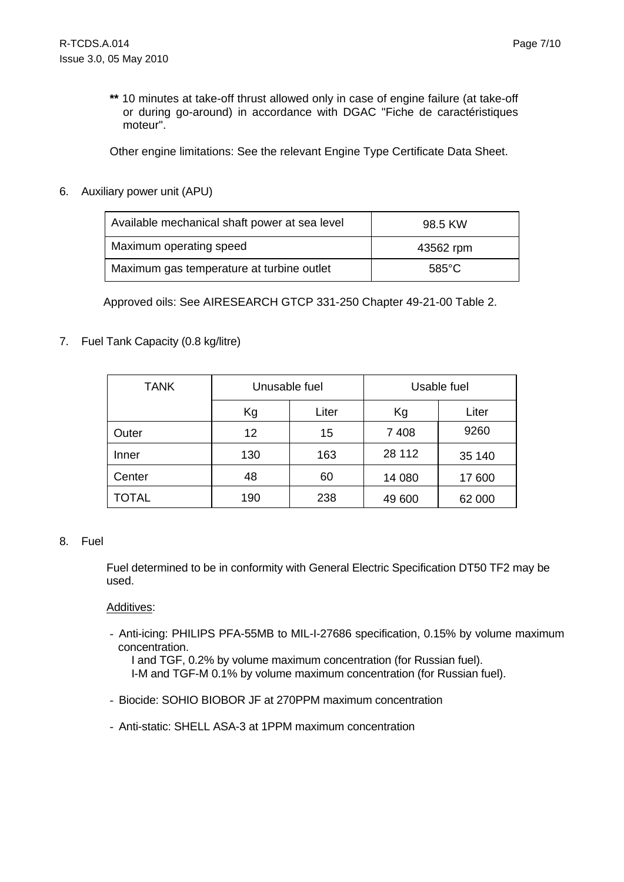**\*\*** 10 minutes at take-off thrust allowed only in case of engine failure (at take-off or during go-around) in accordance with DGAC "Fiche de caractéristiques moteur".

Other engine limitations: See the relevant Engine Type Certificate Data Sheet.

6. Auxiliary power unit (APU)

| Available mechanical shaft power at sea level | 98.5 KW         |
|-----------------------------------------------|-----------------|
| Maximum operating speed                       | 43562 rpm       |
| Maximum gas temperature at turbine outlet     | $585^{\circ}$ C |

Approved oils: See AIRESEARCH GTCP 331-250 Chapter 49-21-00 Table 2.

7. Fuel Tank Capacity (0.8 kg/litre)

| <b>TANK</b>  | Unusable fuel |       |         | Usable fuel |
|--------------|---------------|-------|---------|-------------|
|              | Кg            | Liter | Кg      | Liter       |
| Outer        | 12            | 15    | 7 4 0 8 | 9260        |
| Inner        | 130           | 163   | 28 112  | 35 140      |
| Center       | 48            | 60    | 14 080  | 17 600      |
| <b>TOTAL</b> | 190           | 238   | 49 600  | 62 000      |

#### 8. Fuel

Fuel determined to be in conformity with General Electric Specification DT50 TF2 may be used.

#### Additives:

- Anti-icing: PHILIPS PFA-55MB to MIL-I-27686 specification, 0.15% by volume maximum concentration.

I and TGF, 0.2% by volume maximum concentration (for Russian fuel). I-M and TGF-M 0.1% by volume maximum concentration (for Russian fuel).

- Biocide: SOHIO BIOBOR JF at 270PPM maximum concentration
- Anti-static: SHELL ASA-3 at 1PPM maximum concentration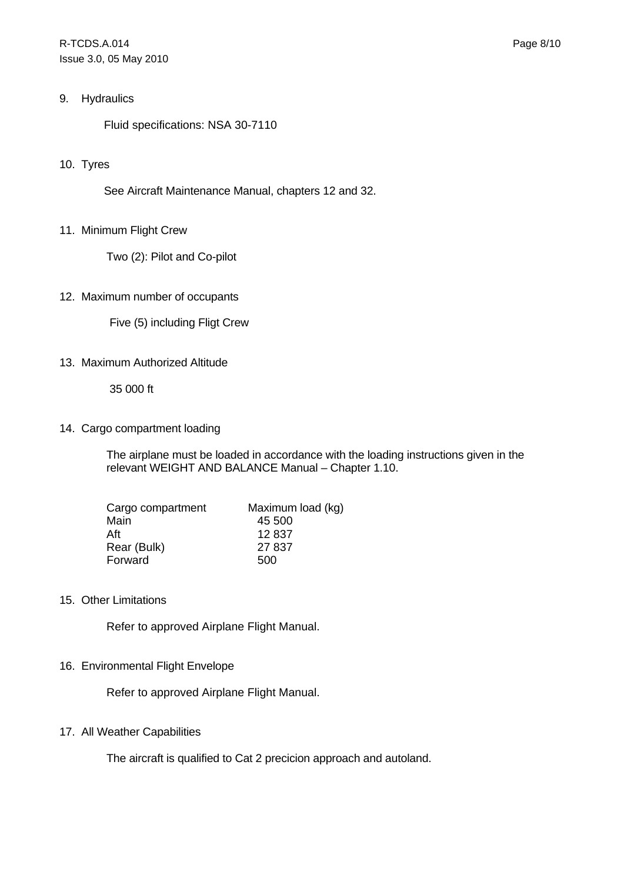R-TCDS.A.014 Page 8/10 Issue 3.0, 05 May 2010

#### 9. Hydraulics

Fluid specifications: NSA 30-7110

#### 10. Tyres

See Aircraft Maintenance Manual, chapters 12 and 32.

#### 11. Minimum Flight Crew

Two (2): Pilot and Co-pilot

12. Maximum number of occupants

Five (5) including Fligt Crew

#### 13. Maximum Authorized Altitude

35 000 ft

#### 14. Cargo compartment loading

The airplane must be loaded in accordance with the loading instructions given in the relevant WEIGHT AND BALANCE Manual – Chapter 1.10.

| Cargo compartment | Maximum load (kg) |
|-------------------|-------------------|
| Main              | 45 500            |
| Aft               | 12837             |
| Rear (Bulk)       | 27 837            |
| Forward           | 500               |

#### 15. Other Limitations

Refer to approved Airplane Flight Manual.

#### 16. Environmental Flight Envelope

Refer to approved Airplane Flight Manual.

#### 17. All Weather Capabilities

The aircraft is qualified to Cat 2 precicion approach and autoland.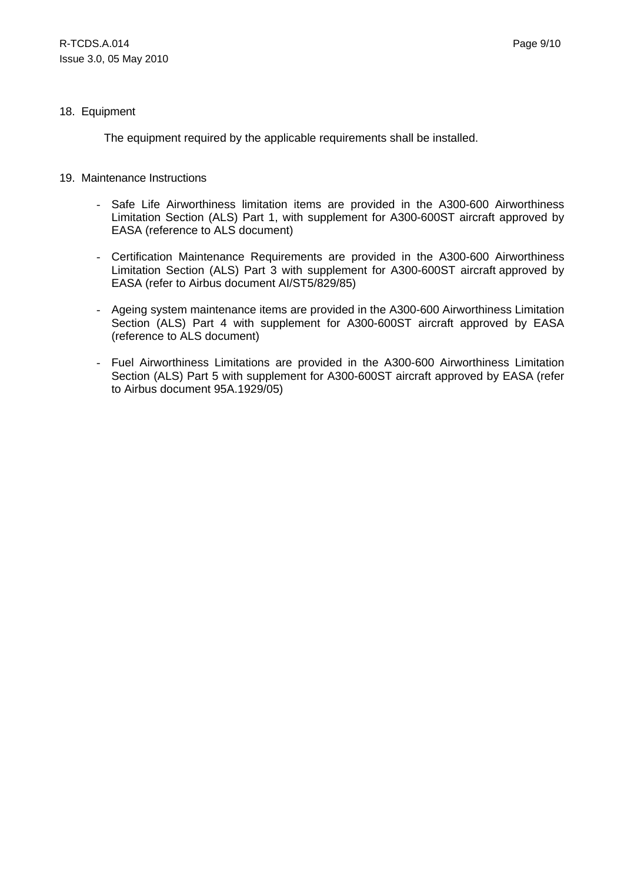#### 18. Equipment

The equipment required by the applicable requirements shall be installed.

#### 19. Maintenance Instructions

- Safe Life Airworthiness limitation items are provided in the A300-600 Airworthiness Limitation Section (ALS) Part 1, with supplement for A300-600ST aircraft approved by EASA (reference to ALS document)
- Certification Maintenance Requirements are provided in the A300-600 Airworthiness Limitation Section (ALS) Part 3 with supplement for A300-600ST aircraft approved by EASA (refer to Airbus document AI/ST5/829/85)
- Ageing system maintenance items are provided in the A300-600 Airworthiness Limitation Section (ALS) Part 4 with supplement for A300-600ST aircraft approved by EASA (reference to ALS document)
- Fuel Airworthiness Limitations are provided in the A300-600 Airworthiness Limitation Section (ALS) Part 5 with supplement for A300-600ST aircraft approved by EASA (refer to Airbus document 95A.1929/05)